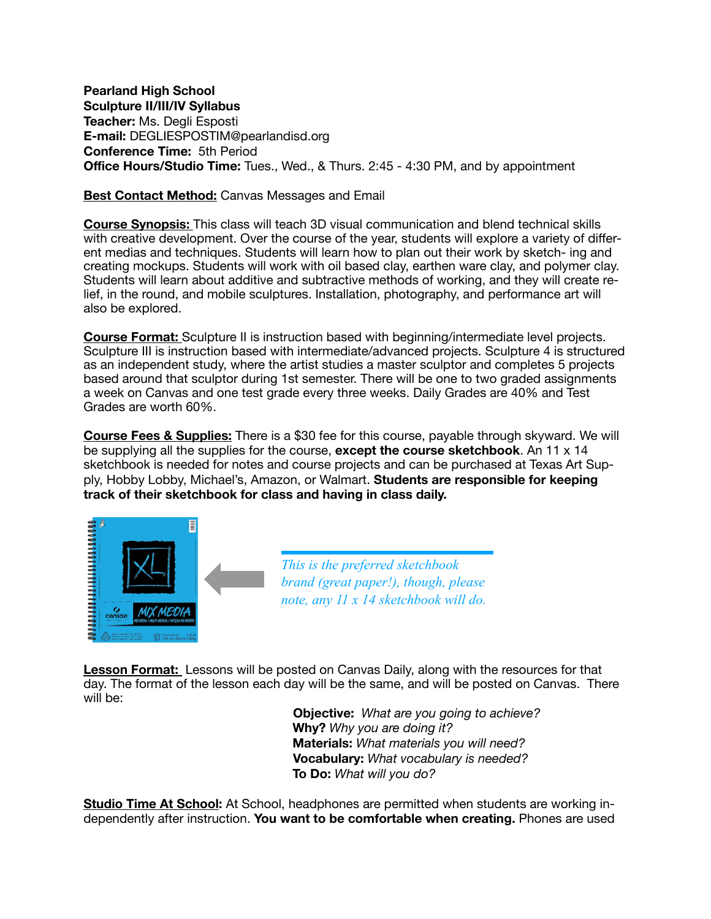**Pearland High School Sculpture II/III/IV Syllabus Teacher:** Ms. Degli Esposti **E-mail:** DEGLIESPOSTIM@pearlandisd.org **Conference Time:** 5th Period **Office Hours/Studio Time:** Tues., Wed., & Thurs. 2:45 - 4:30 PM, and by appointment

## **Best Contact Method:** Canvas Messages and Email

**Course Synopsis:** This class will teach 3D visual communication and blend technical skills with creative development. Over the course of the year, students will explore a variety of different medias and techniques. Students will learn how to plan out their work by sketch- ing and creating mockups. Students will work with oil based clay, earthen ware clay, and polymer clay. Students will learn about additive and subtractive methods of working, and they will create relief, in the round, and mobile sculptures. Installation, photography, and performance art will also be explored.

**Course Format:** Sculpture II is instruction based with beginning/intermediate level projects. Sculpture III is instruction based with intermediate/advanced projects. Sculpture 4 is structured as an independent study, where the artist studies a master sculptor and completes 5 projects based around that sculptor during 1st semester. There will be one to two graded assignments a week on Canvas and one test grade every three weeks. Daily Grades are 40% and Test Grades are worth 60%.

**Course Fees & Supplies:** There is a \$30 fee for this course, payable through skyward. We will be supplying all the supplies for the course, **except the course sketchbook**. An 11 x 14 sketchbook is needed for notes and course projects and can be purchased at Texas Art Supply, Hobby Lobby, Michael's, Amazon, or Walmart. **Students are responsible for keeping track of their sketchbook for class and having in class daily.**



*This is the preferred sketchbook brand (great paper!), though, please note, any 11 x 14 sketchbook will do.* 

**Lesson Format:** Lessons will be posted on Canvas Daily, along with the resources for that day. The format of the lesson each day will be the same, and will be posted on Canvas. There will be:

> **Objective:** *What are you going to achieve?*  **Why?** *Why you are doing it?*  **Materials:** *What materials you will need?* **Vocabulary:** *What vocabulary is needed?*  **To Do:** *What will you do?*

**Studio Time At School:** At School, headphones are permitted when students are working independently after instruction. **You want to be comfortable when creating.** Phones are used